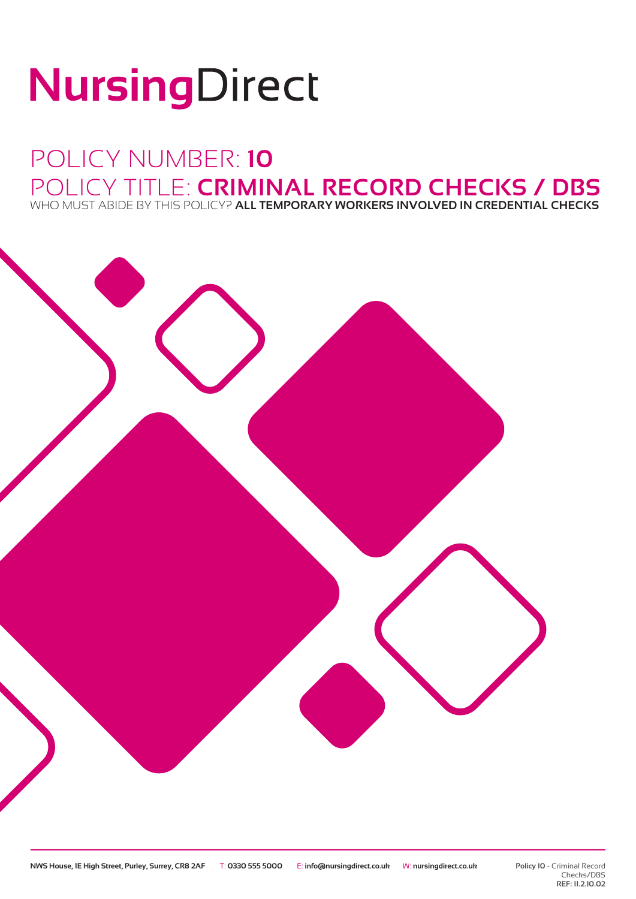# NursingDirect

## POLICY NUMBER: **10** POLICY TITLE: **CRIMINAL RECORD CHECKS / DBS** WHO MUST ABIDE BY THIS POLICY? **ALL TEMPORARY WORKERS INVOLVED IN CREDENTIAL CHECKS**